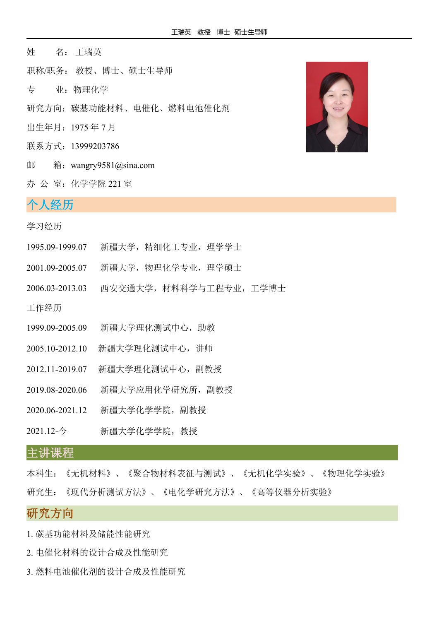- 姓 名: 王瑞英
- 职称/职务: 教授、博士、硕士生导师
- 专 业:物理化学
- 研究方向:碳基功能材料、电催化、燃料电池催化剂
- 出生年月:1975 年 7 月
- 联系方式: 13999203786
- 邮 箱:wangry9581@sina.com
- 办 公 室:化学学院 221 室

## 个人经历 $\,$   $\,$

#### 学习经历

- 1995.09-1999.07 新疆大学,精细化工专业,理学学士
- 2001.09-2005.07 新疆大学,物理化学专业,理学硕士
- 2006.03-2013.03 西安交通大学,材料科学与工程专业,工学博士

工作经历

- 1999.09-2005.09 新疆大学理化测试中心,助教
- 2005.10-2012.10 新疆大学理化测试中心,讲师
- 2012.11-2019.07 新疆大学理化测试中心,副教授
- 2019.08-2020.06 新疆大学应用化学研究所,副教授
- 2020.06-2021.12 新疆大学化学学院,副教授
- 2021.12-今 新疆大学化学学院,教授

## 主讲课程

本科生:《无机材料》、《聚合物材料表征与测试》、《无机化学实验》、《物理化学实验》 研究生:《现代分析测试方法》、《电化学研究方法》、《高等仪器分析实验》

# 研究方向

- 1. 碳基功能材料及储能性能研究
- 2. 电催化材料的设计合成及性能研究
- 3. 燃料电池催化剂的设计合成及性能研究

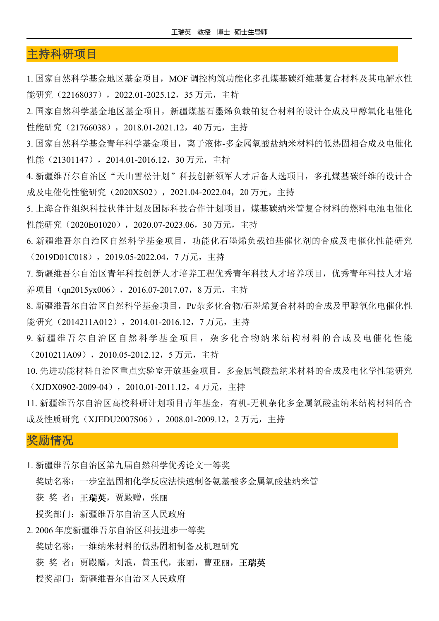## 主持科研项目

1. 国家自然科学基金地区基金项目,MOF 调控构筑功能化多孔煤基碳纤维基复合材料及其电解水性 能研究 (22168037), 2022.01-2025.12, 35 万元, 主持

2. 国家自然科学基金地区基金项目,新疆煤基石墨烯负载铂复合材料的设计合成及甲醇氧化电催化 性能研究 (21766038), 2018.01-2021.12, 40 万元, 主持

3. 国家自然科学基金青年科学基金项目,离子液体-多金属氧酸盐纳米材料的低热固相合成及电催化 性能(21301147), 2014.01-2016.12, 30 万元, 主持

4. 新疆维吾尔自治区"天山雪松计划"科技创新领军人才后备人选项目,多孔煤基碳纤维的设计合 成及电催化性能研究 (2020XS02), 2021.04-2022.04, 20 万元, 主持

5. 上海合作组织科技伙伴计划及国际科技合作计划项目,煤基碳纳米管复合材料的燃料电池电催化 性能研究(2020E01020),2020.07-2023.06,30 万元,主持

6. 新疆维吾尔自治区自然科学基金项目,功能化石墨烯负载铂基催化剂的合成及电催化性能研究 (2019D01C018),2019.05-2022.04,7 万元,主持

7. 新疆维吾尔自治区青年科技创新人才培养工程优秀青年科技人才培养项目,优秀青年科技人才培 养项目 (qn2015yx006), 2016.07-2017.07, 8 万元, 主持

8. 新疆维吾尔自治区自然科学基金项目,Pt/杂多化合物/石墨烯复合材料的合成及甲醇氧化电催化性 能研究 (2014211A012), 2014.01-2016.12, 7 万元, 主持

- 9. 新疆维吾尔自治区自然科学基金项目,杂多化合物纳米结构材料的合成及电催化性能 (2010211A09),2010.05-2012.12,5 万元,主持
- 10. 先进功能材料自治区重点实验室开放基金项目,多金属氧酸盐纳米材料的合成及电化学性能研究 (XJDX0902-2009-04),2010.01-2011.12,4 万元,主持

11. 新疆维吾尔自治区高校科研计划项目青年基金,有机-无机杂化多金属氧酸盐纳米结构材料的合 成及性质研究 (XJEDU2007S06), 2008.01-2009.12, 2 万元, 主持

#### 奖励情况

- 1. 新疆维吾尔自治区第九届自然科学优秀论文一等奖
	- 奖励名称:一步室温固相化学反应法快速制备氨基酸多金属氧酸盐纳米管

获奖者: 王瑞英, 贾殿赠, 张丽

授奖部门:新疆维吾尔自治区人民政府

2. 2006 年度新疆维吾尔自治区科技进步一等奖

奖励名称:一维纳米材料的低热固相制备及机理研究

获 奖 者: 贾殿赠, 刘浪, 黄玉代, 张丽, 曹亚丽, 王瑞英

授奖部门:新疆维吾尔自治区人民政府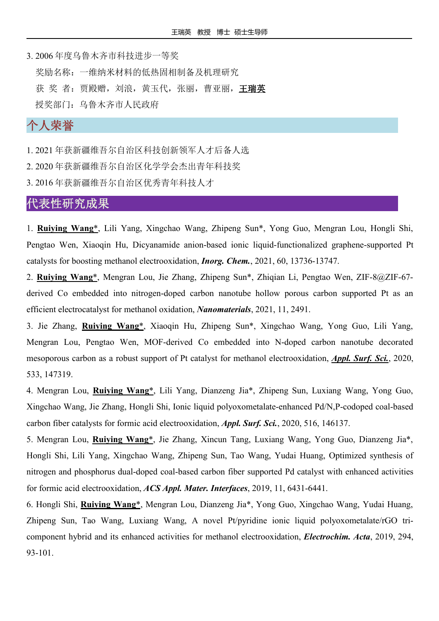3. 2006 年度乌鲁木齐市科技进步一等奖 奖励名称:一维纳米材料的低热固相制备及机理研究 获 奖 者: 贾殿赠, 刘浪, 黄玉代, 张丽, 曹亚丽, 王瑞英 授奖部门:乌鲁木齐市人民政府

# 个人荣誉

1. 2021 年获新疆维吾尔自治区科技创新领军人才后备人选

2. 2020 年获新疆维吾尔自治区化学学会杰出青年科技奖

3. 2016 年获新疆维吾尔自治区优秀青年科技人才

### 代表性研究成果

1. **Ruiying Wang**\*, Lili Yang, Xingchao Wang, Zhipeng Sun\*, Yong Guo, Mengran Lou, Hongli Shi, Pengtao Wen, Xiaoqin Hu, Dicyanamide anion-based ionic liquid-functionalized graphene-supported Pt catalysts for boosting methanol electrooxidation, *Inorg. Chem.*, 2021, [60,](https://doi.org/10.1021/acs.inorgchem.1c02111) 13736-13747.

2. **Ruiying Wang**\*, Mengran Lou, Jie Zhang, Zhipeng Sun\*, Zhiqian Li, Pengtao Wen, ZIF-8@ZIF-67 derived Co embedded into nitrogen-doped carbon nanotube hollow porous carbon supported Pt as an efficient electrocatalyst for methanol oxidation, *Nanomaterials*, 2021, 11, 2491.

3. Jie Zhang, **Ruiying Wang**\*, Xiaoqin Hu, Zhipeng Sun\*, Xingchao Wang, Yong Guo, Lili Yang, Mengran Lou, Pengtao Wen, MOF-derived Co embedded into N-doped carbon nanotube decorated mesoporous carbon as a robust support of Pt catalyst for methanol electrooxidation, *Appl. Surf. Sci.*, 2020, 533, 147319.

4. Mengran Lou, **Ruiying Wang**\*, Lili Yang, Dianzeng Jia\*, Zhipeng Sun, Luxiang Wang, Yong Guo, Xingchao Wang, Jie Zhang, Hongli Shi, Ionic liquid polyoxometalate-enhanced Pd/N,P-codoped coal-based carbon fiber catalysts for formic acid electrooxidation, *Appl. Surf. Sci.*, 2020, 516, 146137.

5. Mengran Lou, **Ruiying Wang**\*, Jie Zhang, Xincun Tang, Luxiang Wang, Yong Guo, Dianzeng Jia\*, Hongli Shi, Lili Yang, Xingchao Wang, Zhipeng Sun, Tao Wang, Yudai Huang, Optimized synthesis of nitrogen and phosphorus dual-doped coal-based carbon fiber supported Pd catalyst with enhanced activities for formic acid electrooxidation, *ACS Appl. Mater. Interfaces*, 2019, 11, 6431-6441.

6. Hongli Shi, **Ruiying Wang**\*, Mengran Lou, Dianzeng Jia\*, Yong Guo, Xingchao Wang, Yudai Huang, Zhipeng Sun, Tao Wang, Luxiang Wang, A novel Pt/pyridine ionic liquid polyoxometalate/rGO tri component hybrid and its enhanced activities for methanol electrooxidation, *Electrochim. Acta*, 2019, 294, 93-101.